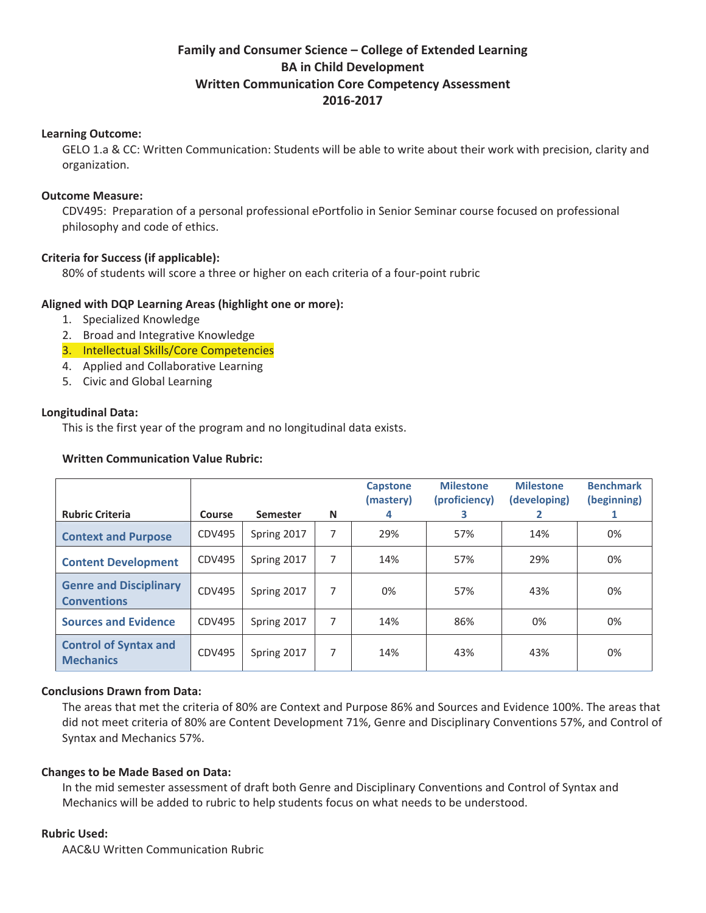# **Family and Consumer Science – College of Extended Learning BA in Child Development Written Communication Core Competency Assessment 2016Ͳ2017**

#### **Learning Outcome:**

GELO 1.a & CC: Written Communication: Students will be able to write about their work with precision, clarity and organization.

### **Outcome Measure:**

CDV495: Preparation of a personal professional ePortfolio in Senior Seminar course focused on professional philosophy and code of ethics.

## **Criteria for Success (if applicable):**

80% of students will score a three or higher on each criteria of a four-point rubric

## **Aligned with DQP Learning Areas (highlight one or more):**

- 1. Specialized Knowledge
- 2. Broad and Integrative Knowledge
- 3. Intellectual Skills/Core Competencies
- 4. Applied and Collaborative Learning
- 5. Civic and Global Learning

#### **Longitudinal Data:**

This is the first year of the program and no longitudinal data exists.

### **Written Communication Value Rubric:**

| <b>Rubric Criteria</b>                              | Course | Semester    | N | <b>Capstone</b><br>(mastery)<br>4 | <b>Milestone</b><br>(proficiency)<br>3 | <b>Milestone</b><br>(developing)<br>2 | <b>Benchmark</b><br>(beginning)<br>1 |
|-----------------------------------------------------|--------|-------------|---|-----------------------------------|----------------------------------------|---------------------------------------|--------------------------------------|
| <b>Context and Purpose</b>                          | CDV495 | Spring 2017 | 7 | 29%                               | 57%                                    | 14%                                   | 0%                                   |
| <b>Content Development</b>                          | CDV495 | Spring 2017 | 7 | 14%                               | 57%                                    | 29%                                   | 0%                                   |
| <b>Genre and Disciplinary</b><br><b>Conventions</b> | CDV495 | Spring 2017 | 7 | 0%                                | 57%                                    | 43%                                   | 0%                                   |
| <b>Sources and Evidence</b>                         | CDV495 | Spring 2017 | 7 | 14%                               | 86%                                    | 0%                                    | 0%                                   |
| <b>Control of Syntax and</b><br><b>Mechanics</b>    | CDV495 | Spring 2017 | 7 | 14%                               | 43%                                    | 43%                                   | 0%                                   |

## **Conclusions Drawn from Data:**

The areas that met the criteria of 80% are Context and Purpose 86% and Sources and Evidence 100%. The areas that did not meet criteria of 80% are Content Development 71%, Genre and Disciplinary Conventions 57%, and Control of Syntax and Mechanics 57%.

#### **Changes to be Made Based on Data:**

In the mid semester assessment of draft both Genre and Disciplinary Conventions and Control of Syntax and Mechanics will be added to rubric to help students focus on what needs to be understood.

#### **Rubric Used:**

AAC&U Written Communication Rubric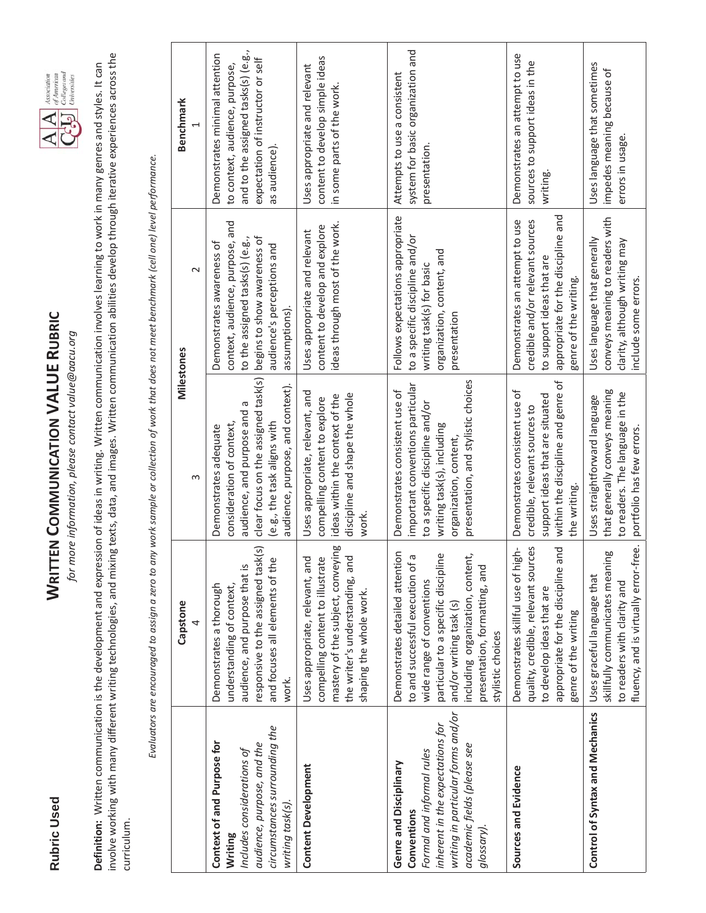**Rubric Used** 

**WRITTEN COMMUNICATION VALUE RUBRIC Rubric Used WRITTEN COMMUNICATION VALUE RUBRIC**

for more information, please contact value@aacu.org *for more information, please contact value@aacu.org*



involve working with many different writing technologies, and mixing texts, data, and images. Written communication abilities develop through iterative experiences across the involve working with many different writing technologies, and mixing texts, data, and images. Written communication abilities develop through iterative experiences across the Definition: Written communication is the development and expression of ideas in writing. Written communication involves learning to work in many genres and styles. It can **Definition:** Written communication is the development and expression of ideas in writing. Written communication involves learning to work in many genres and styles. It can curriculum. curriculum.

*Evaluators are encouraged to assign a zero to any work sample or collection of work that does not meet benchmark (cell one) level performance.*  Evaluators are encouraged to assign a zero to any work sample or collection of work that does not meet benchmark (cell one) level performance.

|                                                                                                                                                                                           | Capstone<br>4                                                                                                                                                                                                                                                | S                                                                                                                                                                                                    | $\sim$<br><b>Milestones</b>                                                                                                                                                   | <b>Benchmark</b>                                                                                                                                              |
|-------------------------------------------------------------------------------------------------------------------------------------------------------------------------------------------|--------------------------------------------------------------------------------------------------------------------------------------------------------------------------------------------------------------------------------------------------------------|------------------------------------------------------------------------------------------------------------------------------------------------------------------------------------------------------|-------------------------------------------------------------------------------------------------------------------------------------------------------------------------------|---------------------------------------------------------------------------------------------------------------------------------------------------------------|
| circumstances surrounding the<br>Context of and Purpose for<br>audience, purpose, and the<br>Includes considerations of<br>writing task(s).<br>Writing                                    | ြ<br>responsive to the assigned task<br>and focuses all elements of the<br>audience, and purpose that is<br>Demonstrates a thorough<br>understanding of context,<br>work.                                                                                    | clear focus on the assigned task(s)<br>audience, purpose, and context).<br>audience, and purpose and a<br>consideration of context,<br>(e.g., the task aligns with<br>Demonstrates adequate          | context, audience, purpose, and<br>begins to show awareness of<br>to the assigned tasks(s) (e.g.,<br>Demonstrates awareness of<br>audience's perceptions and<br>assumptions). | and to the assigned tasks(s) (e.g.,<br>Demonstrates minimal attention<br>expectation of instructor or self<br>to context, audience, purpose,<br>as audience). |
| Content Development                                                                                                                                                                       | mastery of the subject, conveying<br>Uses appropriate, relevant, and<br>compelling content to illustrate<br>the writer's understanding, and<br>shaping the whole work.                                                                                       | Uses appropriate, relevant, and<br>discipline and shape the whole<br>ideas within the context of the<br>compelling content to explore<br>work.                                                       | ideas through most of the work.<br>content to develop and explore<br>Uses appropriate and relevant                                                                            | content to develop simple ideas<br>Uses appropriate and relevant<br>in some parts of the work.                                                                |
| writing in particular forms and/or<br>inherent in the expectations for<br>academic fields (please see<br>Formal and informal rules<br>Genre and Disciplinary<br>Conventions<br>glossary). | Demonstrates detailed attention<br>particular to a specific discipline<br>to and successful execution of a<br>including organization, content,<br>presentation, formatting, and<br>wide range of conventions<br>and/or writing task (s)<br>stylistic choices | presentation, and stylistic choices<br>important conventions particular<br>Demonstrates consistent use of<br>to a specific discipline and/or<br>writing task(s), including<br>organization, content, | Follows expectations appropriate<br>to a specific discipline and/or<br>organization, content, and<br>writing task(s) for basic<br>presentation                                | system for basic organization and<br>Attempts to use a consistent<br>presentation.                                                                            |
| Sources and Evidence                                                                                                                                                                      | Demonstrates skillful use of high-<br>quality, credible, relevant sources<br>appropriate for the discipline and<br>to develop ideas that are<br>genre of the writing                                                                                         | within the discipline and genre of<br>Demonstrates consistent use of<br>support ideas that are situated<br>credible, relevant sources to<br>the writing.                                             | appropriate for the discipline and<br>credible and/or relevant sources<br>Demonstrates an attempt to use<br>to support ideas that are<br>genre of the writing.                | Demonstrates an attempt to use<br>sources to support ideas in the<br>writing.                                                                                 |
| Control of Syntax and Mechanics                                                                                                                                                           | fluency, and is virtually error-free.<br>skillfully communicates meaning<br>Uses graceful language that<br>to readers with clarity and                                                                                                                       | that generally conveys meaning<br>to readers. The language in the<br>Uses straightforward language<br>portfolio has few errors.                                                                      | conveys meaning to readers with<br>Uses language that generally<br>clarity, although writing may<br>include some errors.                                                      | Uses language that sometimes<br>impedes meaning because of<br>errors in usage.                                                                                |